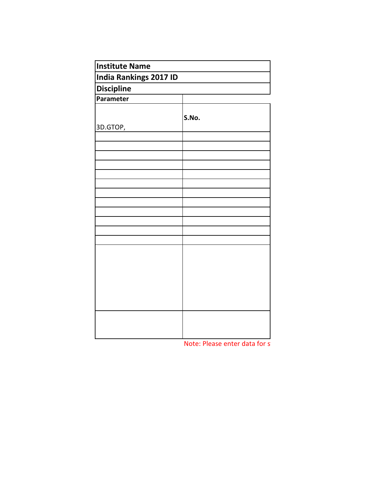| <b>Institute Name</b>         |       |  |  |  |
|-------------------------------|-------|--|--|--|
| <b>India Rankings 2017 ID</b> |       |  |  |  |
| <b>Discipline</b>             |       |  |  |  |
| Parameter                     |       |  |  |  |
|                               | S.No. |  |  |  |
| 3D.GTOP,                      |       |  |  |  |
|                               |       |  |  |  |
|                               |       |  |  |  |
|                               |       |  |  |  |
|                               |       |  |  |  |
|                               |       |  |  |  |
|                               |       |  |  |  |
|                               |       |  |  |  |
|                               |       |  |  |  |
|                               |       |  |  |  |
|                               |       |  |  |  |
|                               |       |  |  |  |
|                               |       |  |  |  |
|                               |       |  |  |  |
|                               |       |  |  |  |
|                               |       |  |  |  |
|                               |       |  |  |  |
|                               |       |  |  |  |
|                               |       |  |  |  |
|                               |       |  |  |  |
|                               |       |  |  |  |

Note: Please enter data for students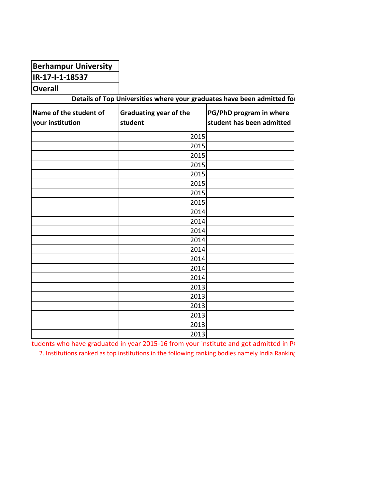| <b>Berhampur University</b> |
|-----------------------------|
|                             |

**IR-17-I-1-18537**

**Overall**

| Details of Top Universities where your graduates have been admitted for |                                          |                                                      |  |
|-------------------------------------------------------------------------|------------------------------------------|------------------------------------------------------|--|
| Name of the student of<br>your institution                              | <b>Graduating year of the</b><br>student | PG/PhD program in where<br>student has been admitted |  |
|                                                                         | 2015                                     |                                                      |  |
|                                                                         | 2015                                     |                                                      |  |
|                                                                         | 2015                                     |                                                      |  |
|                                                                         | 2015                                     |                                                      |  |
|                                                                         | 2015                                     |                                                      |  |
|                                                                         | 2015                                     |                                                      |  |
|                                                                         | 2015                                     |                                                      |  |
|                                                                         | 2015                                     |                                                      |  |
|                                                                         | 2014                                     |                                                      |  |
|                                                                         | 2014                                     |                                                      |  |
|                                                                         | 2014                                     |                                                      |  |
|                                                                         | 2014                                     |                                                      |  |
|                                                                         | 2014                                     |                                                      |  |
|                                                                         | 2014                                     |                                                      |  |
|                                                                         | 2014                                     |                                                      |  |
|                                                                         | 2014                                     |                                                      |  |
|                                                                         | 2013                                     |                                                      |  |
|                                                                         | 2013                                     |                                                      |  |
|                                                                         | 2013                                     |                                                      |  |
|                                                                         | 2013                                     |                                                      |  |
|                                                                         | 2013                                     |                                                      |  |
|                                                                         | 2013                                     |                                                      |  |

2. Institutions ranked as top institutions in the following ranking bodies namely India Ranking tudents who have graduated in year 2015-16 from your institute and got admitted in Po